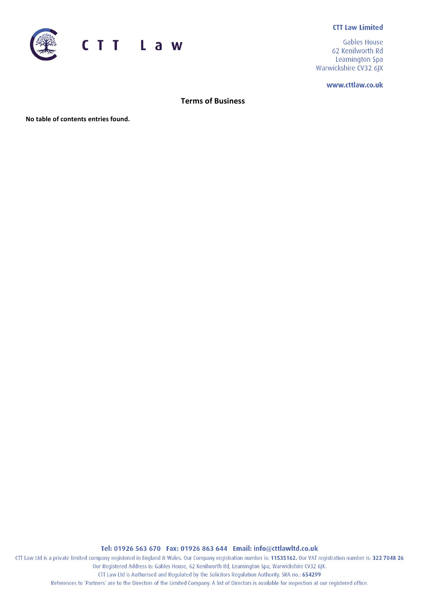### **CTT Law Limited**



**Gables House** 62 Kenilworth Rd Leamington Spa Warwickshire CV32 6JX

www.cttlaw.co.uk

**Terms of Business**

**No table of contents entries found.**

Tel: 01926 563 670 Fax: 01926 863 644 Email: info@cttlawltd.co.uk

CTT Law Ltd is a private limited company registered in England & Wales. Our Company registration number is: 11535162. Our VAT registration number is: 322 7048 26 Our Registered Address is: Gables House, 62 Kenilworth Rd, Leamington Spa, Warwickshire CV32 6JX. CTT Law Ltd is Authorised and Regulated by the Solicitors Regulation Authority. SRA no.: 654299

References to 'Partners' are to the Directors of the Limited Company. A list of Directors is available for inspection at our registered office.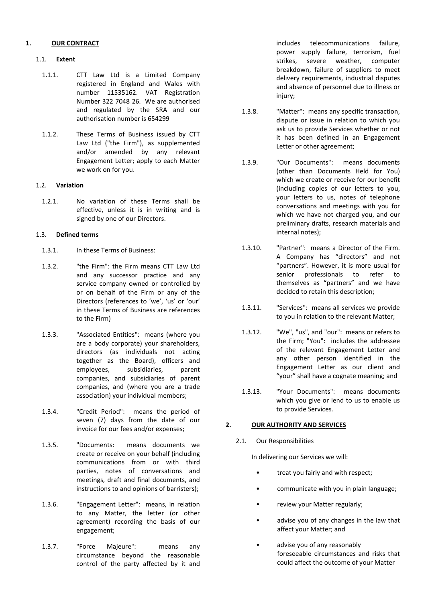## **1. OUR CONTRACT**

### 1.1. **Extent**

- 1.1.1. CTT Law Ltd is a Limited Company registered in England and Wales with number 11535162. VAT Registration Number 322 7048 26. We are authorised and regulated by the SRA and our authorisation number is 654299
- 1.1.2. These Terms of Business issued by CTT Law Ltd ("the Firm"), as supplemented and/or amended by any relevant Engagement Letter; apply to each Matter we work on for you.

### 1.2. **Variation**

1.2.1. No variation of these Terms shall be effective, unless it is in writing and is signed by one of our Directors.

#### 1.3. **Defined terms**

- 1.3.1. In these Terms of Business:
- 1.3.2. "the Firm": the Firm means CTT Law Ltd and any successor practice and any service company owned or controlled by or on behalf of the Firm or any of the Directors (references to 'we', 'us' or 'our' in these Terms of Business are references to the Firm)
- 1.3.3. "Associated Entities": means (where you are a body corporate) your shareholders, directors (as individuals not acting together as the Board), officers and employees, subsidiaries, parent companies, and subsidiaries of parent companies, and (where you are a trade association) your individual members;
- 1.3.4. "Credit Period": means the period of seven (7) days from the date of our invoice for our fees and/or expenses;
- 1.3.5. "Documents: means documents we create or receive on your behalf (including communications from or with third parties, notes of conversations and meetings, draft and final documents, and instructions to and opinions of barristers);
- 1.3.6. "Engagement Letter": means, in relation to any Matter, the letter (or other agreement) recording the basis of our engagement;
- 1.3.7. "Force Majeure": means any circumstance beyond the reasonable control of the party affected by it and

includes telecommunications failure, power supply failure, terrorism, fuel strikes, severe weather, computer breakdown, failure of suppliers to meet delivery requirements, industrial disputes and absence of personnel due to illness or injury;

- 1.3.8. "Matter": means any specific transaction, dispute or issue in relation to which you ask us to provide Services whether or not it has been defined in an Engagement Letter or other agreement;
- 1.3.9. "Our Documents": means documents (other than Documents Held for You) which we create or receive for our benefit (including copies of our letters to you, your letters to us, notes of telephone conversations and meetings with you for which we have not charged you, and our preliminary drafts, research materials and internal notes);
- 1.3.10. "Partner": means a Director of the Firm. A Company has "directors" and not "partners". However, it is more usual for senior professionals to refer to themselves as "partners" and we have decided to retain this description;
- 1.3.11. "Services": means all services we provide to you in relation to the relevant Matter;
- 1.3.12. "We", "us", and "our": means or refers to the Firm; "You": includes the addressee of the relevant Engagement Letter and any other person identified in the Engagement Letter as our client and "your" shall have a cognate meaning; and
- 1.3.13. "Your Documents": means documents which you give or lend to us to enable us to provide Services.

# **2. OUR AUTHORITY AND SERVICES**

2.1. Our Responsibilities

In delivering our Services we will:

- treat you fairly and with respect;
- communicate with you in plain language;
- review your Matter regularly;
- advise you of any changes in the law that affect your Matter; and
- advise you of any reasonably foreseeable circumstances and risks that could affect the outcome of your Matter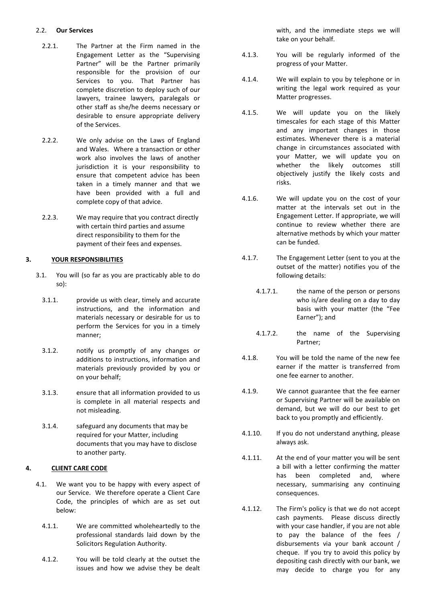### 2.2. **Our Services**

- 2.2.1. The Partner at the Firm named in the Engagement Letter as the "Supervising Partner" will be the Partner primarily responsible for the provision of our Services to you. That Partner has complete discretion to deploy such of our lawyers, trainee lawyers, paralegals or other staff as she/he deems necessary or desirable to ensure appropriate delivery of the Services.
- 2.2.2. We only advise on the Laws of England and Wales. Where a transaction or other work also involves the laws of another jurisdiction it is your responsibility to ensure that competent advice has been taken in a timely manner and that we have been provided with a full and complete copy of that advice.
- 2.2.3. We may require that you contract directly with certain third parties and assume direct responsibility to them for the payment of their fees and expenses.

## **3. YOUR RESPONSIBILITIES**

- 3.1. You will (so far as you are practicably able to do so):
	- 3.1.1. provide us with clear, timely and accurate instructions, and the information and materials necessary or desirable for us to perform the Services for you in a timely manner;
	- 3.1.2. notify us promptly of any changes or additions to instructions, information and materials previously provided by you or on your behalf;
	- 3.1.3. ensure that all information provided to us is complete in all material respects and not misleading.
	- 3.1.4. safeguard any documents that may be required for your Matter, including documents that you may have to disclose to another party.

# **4. CLIENT CARE CODE**

- 4.1. We want you to be happy with every aspect of our Service. We therefore operate a Client Care Code, the principles of which are as set out below:
	- 4.1.1. We are committed wholeheartedly to the professional standards laid down by the Solicitors Regulation Authority.
	- 4.1.2. You will be told clearly at the outset the issues and how we advise they be dealt

with, and the immediate steps we will take on your behalf.

- 4.1.3. You will be regularly informed of the progress of your Matter.
- 4.1.4. We will explain to you by telephone or in writing the legal work required as your Matter progresses.
- 4.1.5. We will update you on the likely timescales for each stage of this Matter and any important changes in those estimates. Whenever there is a material change in circumstances associated with your Matter, we will update you on whether the likely outcomes still objectively justify the likely costs and risks.
- 4.1.6. We will update you on the cost of your matter at the intervals set out in the Engagement Letter. If appropriate, we will continue to review whether there are alternative methods by which your matter can be funded.
- 4.1.7. The Engagement Letter (sent to you at the outset of the matter) notifies you of the following details:
	- 4.1.7.1. the name of the person or persons who is/are dealing on a day to day basis with your matter (the "Fee Earner"); and
	- 4.1.7.2. the name of the Supervising Partner;
- 4.1.8. You will be told the name of the new fee earner if the matter is transferred from one fee earner to another.
- 4.1.9. We cannot guarantee that the fee earner or Supervising Partner will be available on demand, but we will do our best to get back to you promptly and efficiently.
- 4.1.10. If you do not understand anything, please always ask.
- 4.1.11. At the end of your matter you will be sent a bill with a letter confirming the matter has been completed and, where necessary, summarising any continuing consequences.
- 4.1.12. The Firm's policy is that we do not accept cash payments. Please discuss directly with your case handler, if you are not able to pay the balance of the fees / disbursements via your bank account / cheque. If you try to avoid this policy by depositing cash directly with our bank, we may decide to charge you for any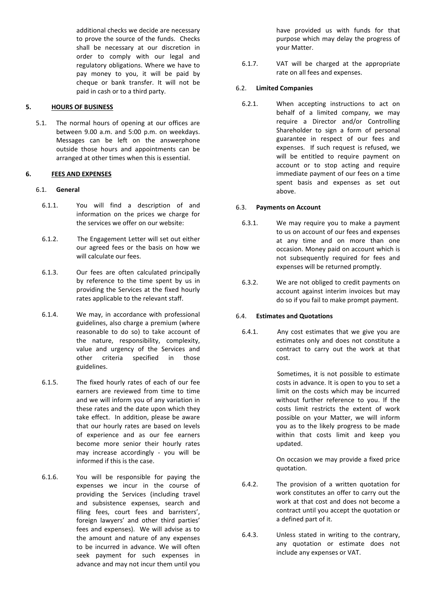additional checks we decide are necessary to prove the source of the funds. Checks shall be necessary at our discretion in order to comply with our legal and regulatory obligations. Where we have to pay money to you, it will be paid by cheque or bank transfer. It will not be paid in cash or to a third party.

### **5. HOURS OF BUSINESS**

5.1. The normal hours of opening at our offices are between 9.00 a.m. and 5:00 p.m. on weekdays. Messages can be left on the answerphone outside those hours and appointments can be arranged at other times when this is essential.

### **6. FEES AND EXPENSES**

#### 6.1. **General**

- 6.1.1. You will find a description of and information on the prices we charge for the services we offer on our website:
- 6.1.2. The Engagement Letter will set out either our agreed fees or the basis on how we will calculate our fees.
- 6.1.3. Our fees are often calculated principally by reference to the time spent by us in providing the Services at the fixed hourly rates applicable to the relevant staff.
- 6.1.4. We may, in accordance with professional guidelines, also charge a premium (where reasonable to do so) to take account of the nature, responsibility, complexity, value and urgency of the Services and other criteria specified in those guidelines.
- 6.1.5. The fixed hourly rates of each of our fee earners are reviewed from time to time and we will inform you of any variation in these rates and the date upon which they take effect. In addition, please be aware that our hourly rates are based on levels of experience and as our fee earners become more senior their hourly rates may increase accordingly - you will be informed if this is the case.
- 6.1.6. You will be responsible for paying the expenses we incur in the course of providing the Services (including travel and subsistence expenses, search and filing fees, court fees and barristers', foreign lawyers' and other third parties' fees and expenses). We will advise as to the amount and nature of any expenses to be incurred in advance. We will often seek payment for such expenses in advance and may not incur them until you

have provided us with funds for that purpose which may delay the progress of your Matter.

6.1.7. VAT will be charged at the appropriate rate on all fees and expenses.

#### 6.2. **Limited Companies**

6.2.1. When accepting instructions to act on behalf of a limited company, we may require a Director and/or Controlling Shareholder to sign a form of personal guarantee in respect of our fees and expenses. If such request is refused, we will be entitled to require payment on account or to stop acting and require immediate payment of our fees on a time spent basis and expenses as set out above.

#### 6.3. **Payments on Account**

- 6.3.1. We may require you to make a payment to us on account of our fees and expenses at any time and on more than one occasion. Money paid on account which is not subsequently required for fees and expenses will be returned promptly.
- 6.3.2. We are not obliged to credit payments on account against interim invoices but may do so if you fail to make prompt payment.

#### 6.4. **Estimates and Quotations**

6.4.1. Any cost estimates that we give you are estimates only and does not constitute a contract to carry out the work at that cost.

> Sometimes, it is not possible to estimate costs in advance. It is open to you to set a limit on the costs which may be incurred without further reference to you. If the costs limit restricts the extent of work possible on your Matter, we will inform you as to the likely progress to be made within that costs limit and keep you updated.

> On occasion we may provide a fixed price quotation.

- 6.4.2. The provision of a written quotation for work constitutes an offer to carry out the work at that cost and does not become a contract until you accept the quotation or a defined part of it.
- 6.4.3. Unless stated in writing to the contrary, any quotation or estimate does not include any expenses or VAT.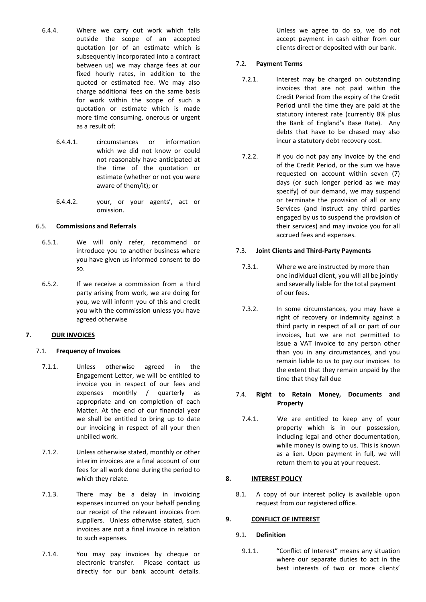- 6.4.4. Where we carry out work which falls outside the scope of an accepted quotation (or of an estimate which is subsequently incorporated into a contract between us) we may charge fees at our fixed hourly rates, in addition to the quoted or estimated fee. We may also charge additional fees on the same basis for work within the scope of such a quotation or estimate which is made more time consuming, onerous or urgent as a result of:
	- 6.4.4.1. circumstances or information which we did not know or could not reasonably have anticipated at the time of the quotation or estimate (whether or not you were aware of them/it); or
	- 6.4.4.2. your, or your agents', act or omission.

### 6.5. **Commissions and Referrals**

- 6.5.1. We will only refer, recommend or introduce you to another business where you have given us informed consent to do so.
- 6.5.2. If we receive a commission from a third party arising from work, we are doing for you, we will inform you of this and credit you with the commission unless you have agreed otherwise

### **7. OUR INVOICES**

### 7.1. **Frequency of Invoices**

- 7.1.1. Unless otherwise agreed in the Engagement Letter, we will be entitled to invoice you in respect of our fees and expenses monthly / quarterly as appropriate and on completion of each Matter. At the end of our financial year we shall be entitled to bring up to date our invoicing in respect of all your then unbilled work.
- 7.1.2. Unless otherwise stated, monthly or other interim invoices are a final account of our fees for all work done during the period to which they relate.
- 7.1.3. There may be a delay in invoicing expenses incurred on your behalf pending our receipt of the relevant invoices from suppliers. Unless otherwise stated, such invoices are not a final invoice in relation to such expenses.
- 7.1.4. You may pay invoices by cheque or electronic transfer. Please contact us directly for our bank account details.

Unless we agree to do so, we do not accept payment in cash either from our clients direct or deposited with our bank.

### 7.2. **Payment Terms**

- 7.2.1. Interest may be charged on outstanding invoices that are not paid within the Credit Period from the expiry of the Credit Period until the time they are paid at the statutory interest rate (currently 8% plus the Bank of England's Base Rate). Any debts that have to be chased may also incur a statutory debt recovery cost.
- 7.2.2. If you do not pay any invoice by the end of the Credit Period, or the sum we have requested on account within seven (7) days (or such longer period as we may specify) of our demand, we may suspend or terminate the provision of all or any Services (and instruct any third parties engaged by us to suspend the provision of their services) and may invoice you for all accrued fees and expenses.

## 7.3. **Joint Clients and Third-Party Payments**

- 7.3.1. Where we are instructed by more than one individual client, you will all be jointly and severally liable for the total payment of our fees.
- 7.3.2. In some circumstances, you may have a right of recovery or indemnity against a third party in respect of all or part of our invoices, but we are not permitted to issue a VAT invoice to any person other than you in any circumstances, and you remain liable to us to pay our invoices to the extent that they remain unpaid by the time that they fall due

## 7.4. **Right to Retain Money, Documents and Property**

7.4.1. We are entitled to keep any of your property which is in our possession, including legal and other documentation, while money is owing to us. This is known as a lien. Upon payment in full, we will return them to you at your request.

# **8. INTEREST POLICY**

8.1. A copy of our interest policy is available upon request from our registered office.

# **9. CONFLICT OF INTEREST**

# 9.1. **Definition**

9.1.1. "Conflict of Interest" means any situation where our separate duties to act in the best interests of two or more clients'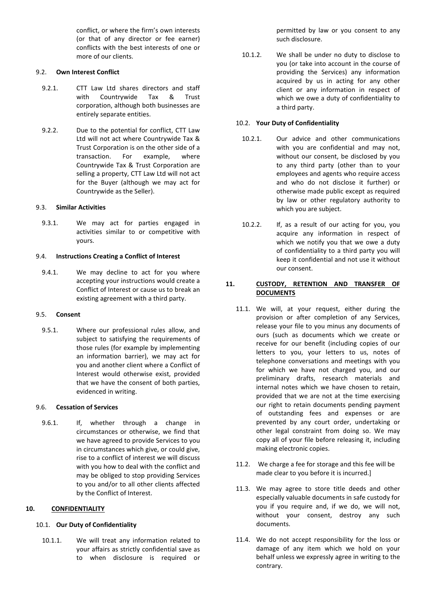conflict, or where the firm's own interests (or that of any director or fee earner) conflicts with the best interests of one or more of our clients.

### 9.2. **Own Interest Conflict**

- 9.2.1. CTT Law Ltd shares directors and staff with Countrywide Tax & Trust corporation, although both businesses are entirely separate entities.
- 9.2.2. Due to the potential for conflict, CTT Law Ltd will not act where Countrywide Tax & Trust Corporation is on the other side of a transaction. For example, where Countrywide Tax & Trust Corporation are selling a property, CTT Law Ltd will not act for the Buyer (although we may act for Countrywide as the Seller).

## 9.3. **Similar Activities**

9.3.1. We may act for parties engaged in activities similar to or competitive with yours.

### 9.4. **Instructions Creating a Conflict of Interest**

9.4.1. We may decline to act for you where accepting your instructions would create a Conflict of Interest or cause us to break an existing agreement with a third party.

### 9.5. **Consent**

9.5.1. Where our professional rules allow, and subject to satisfying the requirements of those rules (for example by implementing an information barrier), we may act for you and another client where a Conflict of Interest would otherwise exist, provided that we have the consent of both parties, evidenced in writing.

# 9.6. **Cessation of Services**

9.6.1. If, whether through a change in circumstances or otherwise, we find that we have agreed to provide Services to you in circumstances which give, or could give, rise to a conflict of interest we will discuss with you how to deal with the conflict and may be obliged to stop providing Services to you and/or to all other clients affected by the Conflict of Interest.

### **10. CONFIDENTIALITY**

# 10.1. **Our Duty of Confidentiality**

10.1.1. We will treat any information related to your affairs as strictly confidential save as to when disclosure is required or

permitted by law or you consent to any such disclosure.

10.1.2. We shall be under no duty to disclose to you (or take into account in the course of providing the Services) any information acquired by us in acting for any other client or any information in respect of which we owe a duty of confidentiality to a third party.

# 10.2. **Your Duty of Confidentiality**

- 10.2.1. Our advice and other communications with you are confidential and may not, without our consent, be disclosed by you to any third party (other than to your employees and agents who require access and who do not disclose it further) or otherwise made public except as required by law or other regulatory authority to which you are subject.
- 10.2.2. If, as a result of our acting for you, you acquire any information in respect of which we notify you that we owe a duty of confidentiality to a third party you will keep it confidential and not use it without our consent.

# **11. CUSTODY, RETENTION AND TRANSFER OF DOCUMENTS**

- 11.1. We will, at your request, either during the provision or after completion of any Services, release your file to you minus any documents of ours (such as documents which we create or receive for our benefit (including copies of our letters to you, your letters to us, notes of telephone conversations and meetings with you for which we have not charged you, and our preliminary drafts, research materials and internal notes which we have chosen to retain, provided that we are not at the time exercising our right to retain documents pending payment of outstanding fees and expenses or are prevented by any court order, undertaking or other legal constraint from doing so. We may copy all of your file before releasing it, including making electronic copies.
- 11.2. We charge a fee for storage and this fee will be made clear to you before it is incurred.]
- 11.3. We may agree to store title deeds and other especially valuable documents in safe custody for you if you require and, if we do, we will not, without your consent, destroy any such documents.
- 11.4. We do not accept responsibility for the loss or damage of any item which we hold on your behalf unless we expressly agree in writing to the contrary.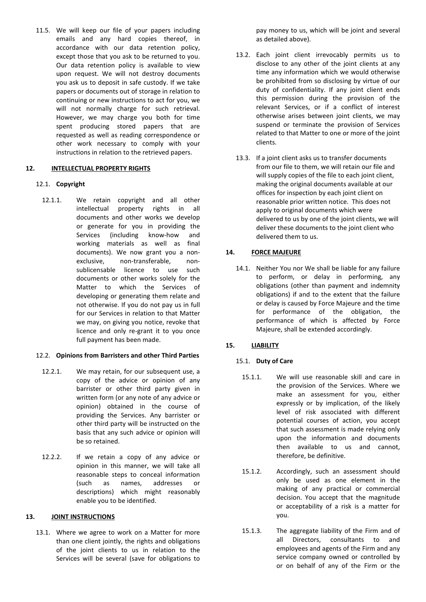11.5. We will keep our file of your papers including emails and any hard copies thereof, in accordance with our data retention policy, except those that you ask to be returned to you. Our data retention policy is available to view upon request. We will not destroy documents you ask us to deposit in safe custody. If we take papers or documents out of storage in relation to continuing or new instructions to act for you, we will not normally charge for such retrieval. However, we may charge you both for time spent producing stored papers that are requested as well as reading correspondence or other work necessary to comply with your instructions in relation to the retrieved papers.

## **12. INTELLECTUAL PROPERTY RIGHTS**

## 12.1. **Copyright**

12.1.1. We retain copyright and all other intellectual property rights in all documents and other works we develop or generate for you in providing the Services (including know-how and working materials as well as final documents). We now grant you a nonexclusive, non-transferable, nonsublicensable licence to use such documents or other works solely for the Matter to which the Services of developing or generating them relate and not otherwise. If you do not pay us in full for our Services in relation to that Matter we may, on giving you notice, revoke that licence and only re-grant it to you once full payment has been made.

# 12.2. **Opinions from Barristers and other Third Parties**

- 12.2.1. We may retain, for our subsequent use, a copy of the advice or opinion of any barrister or other third party given in written form (or any note of any advice or opinion) obtained in the course of providing the Services. Any barrister or other third party will be instructed on the basis that any such advice or opinion will be so retained.
- 12.2.2. If we retain a copy of any advice or opinion in this manner, we will take all reasonable steps to conceal information (such as names, addresses or descriptions) which might reasonably enable you to be identified.

## **13. JOINT INSTRUCTIONS**

13.1. Where we agree to work on a Matter for more than one client jointly, the rights and obligations of the joint clients to us in relation to the Services will be several (save for obligations to

pay money to us, which will be joint and several as detailed above).

- 13.2. Each joint client irrevocably permits us to disclose to any other of the joint clients at any time any information which we would otherwise be prohibited from so disclosing by virtue of our duty of confidentiality. If any joint client ends this permission during the provision of the relevant Services, or if a conflict of interest otherwise arises between joint clients, we may suspend or terminate the provision of Services related to that Matter to one or more of the joint clients.
- 13.3. If a joint client asks us to transfer documents from our file to them, we will retain our file and will supply copies of the file to each joint client, making the original documents available at our offices for inspection by each joint client on reasonable prior written notice. This does not apply to original documents which were delivered to us by one of the joint clients, we will deliver these documents to the joint client who delivered them to us.

## **14. FORCE MAJEURE**

14.1. Neither You nor We shall be liable for any failure to perform, or delay in performing, any obligations (other than payment and indemnity obligations) if and to the extent that the failure or delay is caused by Force Majeure and the time for performance of the obligation, the performance of which is affected by Force Majeure, shall be extended accordingly.

# **15. LIABILITY**

# 15.1. **Duty of Care**

- 15.1.1. We will use reasonable skill and care in the provision of the Services. Where we make an assessment for you, either expressly or by implication, of the likely level of risk associated with different potential courses of action, you accept that such assessment is made relying only upon the information and documents then available to us and cannot, therefore, be definitive.
- 15.1.2. Accordingly, such an assessment should only be used as one element in the making of any practical or commercial decision. You accept that the magnitude or acceptability of a risk is a matter for you.
- 15.1.3. The aggregate liability of the Firm and of all Directors, consultants to and employees and agents of the Firm and any service company owned or controlled by or on behalf of any of the Firm or the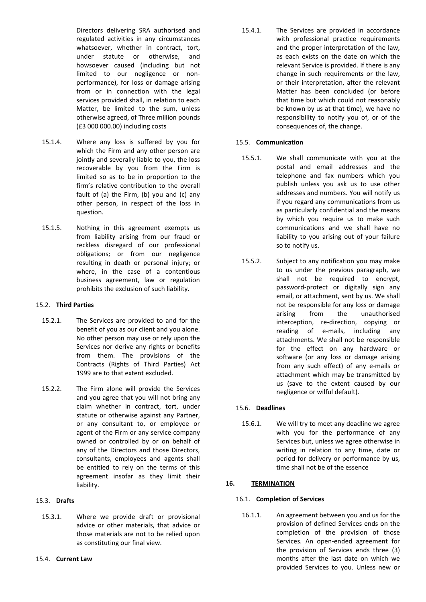Directors delivering SRA authorised and regulated activities in any circumstances whatsoever, whether in contract, tort, under statute or otherwise, and howsoever caused (including but not limited to our negligence or nonperformance), for loss or damage arising from or in connection with the legal services provided shall, in relation to each Matter, be limited to the sum, unless otherwise agreed, of Three million pounds (£3 000 000.00) including costs

- 15.1.4. Where any loss is suffered by you for which the Firm and any other person are jointly and severally liable to you, the loss recoverable by you from the Firm is limited so as to be in proportion to the firm's relative contribution to the overall fault of (a) the Firm, (b) you and (c) any other person, in respect of the loss in question.
- 15.1.5. Nothing in this agreement exempts us from liability arising from our fraud or reckless disregard of our professional obligations; or from our negligence resulting in death or personal injury; or where, in the case of a contentious business agreement, law or regulation prohibits the exclusion of such liability.

### 15.2. **Third Parties**

- 15.2.1. The Services are provided to and for the benefit of you as our client and you alone. No other person may use or rely upon the Services nor derive any rights or benefits from them. The provisions of the Contracts (Rights of Third Parties) Act 1999 are to that extent excluded.
- 15.2.2. The Firm alone will provide the Services and you agree that you will not bring any claim whether in contract, tort, under statute or otherwise against any Partner, or any consultant to, or employee or agent of the Firm or any service company owned or controlled by or on behalf of any of the Directors and those Directors, consultants, employees and agents shall be entitled to rely on the terms of this agreement insofar as they limit their liability.

## 15.3. **Drafts**

15.3.1. Where we provide draft or provisional advice or other materials, that advice or those materials are not to be relied upon as constituting our final view.

15.4.1. The Services are provided in accordance with professional practice requirements and the proper interpretation of the law, as each exists on the date on which the relevant Service is provided. If there is any change in such requirements or the law, or their interpretation, after the relevant Matter has been concluded (or before that time but which could not reasonably be known by us at that time), we have no responsibility to notify you of, or of the consequences of, the change.

## 15.5. **Communication**

- 15.5.1. We shall communicate with you at the postal and email addresses and the telephone and fax numbers which you publish unless you ask us to use other addresses and numbers. You will notify us if you regard any communications from us as particularly confidential and the means by which you require us to make such communications and we shall have no liability to you arising out of your failure so to notify us.
- 15.5.2. Subject to any notification you may make to us under the previous paragraph, we shall not be required to encrypt, password-protect or digitally sign any email, or attachment, sent by us. We shall not be responsible for any loss or damage arising from the unauthorised interception, re-direction, copying or reading of e-mails, including any attachments. We shall not be responsible for the effect on any hardware or software (or any loss or damage arising from any such effect) of any e-mails or attachment which may be transmitted by us (save to the extent caused by our negligence or wilful default).

# 15.6. **Deadlines**

15.6.1. We will try to meet any deadline we agree with you for the performance of any Services but, unless we agree otherwise in writing in relation to any time, date or period for delivery or performance by us, time shall not be of the essence

# **16. TERMINATION**

# 16.1. **Completion of Services**

16.1.1. An agreement between you and us for the provision of defined Services ends on the completion of the provision of those Services. An open-ended agreement for the provision of Services ends three (3) months after the last date on which we provided Services to you. Unless new or

15.4. **Current Law**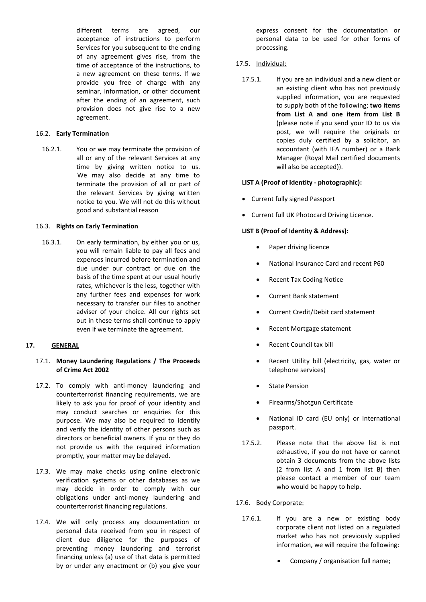different terms are agreed, our acceptance of instructions to perform Services for you subsequent to the ending of any agreement gives rise, from the time of acceptance of the instructions, to a new agreement on these terms. If we provide you free of charge with any seminar, information, or other document after the ending of an agreement, such provision does not give rise to a new agreement.

### 16.2. **Early Termination**

16.2.1. You or we may terminate the provision of all or any of the relevant Services at any time by giving written notice to us. We may also decide at any time to terminate the provision of all or part of the relevant Services by giving written notice to you. We will not do this without good and substantial reason

#### 16.3. **Rights on Early Termination**

16.3.1. On early termination, by either you or us, you will remain liable to pay all fees and expenses incurred before termination and due under our contract or due on the basis of the time spent at our usual hourly rates, whichever is the less, together with any further fees and expenses for work necessary to transfer our files to another adviser of your choice. All our rights set out in these terms shall continue to apply even if we terminate the agreement.

### **17. GENERAL**

### 17.1. **Money Laundering Regulations / The Proceeds of Crime Act 2002**

- 17.2. To comply with anti-money laundering and counterterrorist financing requirements, we are likely to ask you for proof of your identity and may conduct searches or enquiries for this purpose. We may also be required to identify and verify the identity of other persons such as directors or beneficial owners. If you or they do not provide us with the required information promptly, your matter may be delayed.
- 17.3. We may make checks using online electronic verification systems or other databases as we may decide in order to comply with our obligations under anti-money laundering and counterterrorist financing regulations.
- 17.4. We will only process any documentation or personal data received from you in respect of client due diligence for the purposes of preventing money laundering and terrorist financing unless (a) use of that data is permitted by or under any enactment or (b) you give your

express consent for the documentation or personal data to be used for other forms of processing.

#### 17.5. Individual:

17.5.1. If you are an individual and a new client or an existing client who has not previously supplied information, you are requested to supply both of the following; **two items from List A and one item from List B** (please note if you send your ID to us via post, we will require the originals or copies duly certified by a solicitor, an accountant (with IFA number) or a Bank Manager (Royal Mail certified documents will also be accepted)).

#### **LIST A (Proof of Identity - photographic):**

- Current fully signed Passport
- Current full UK Photocard Driving Licence.

### **LIST B (Proof of Identity & Address):**

- Paper driving licence
- National Insurance Card and recent P60
- Recent Tax Coding Notice
- Current Bank statement
- Current Credit/Debit card statement
- Recent Mortgage statement
- Recent Council tax bill
- Recent Utility bill (electricity, gas, water or telephone services)
- **State Pension**
- Firearms/Shotgun Certificate
- National ID card (EU only) or International passport.
- 17.5.2. Please note that the above list is not exhaustive, if you do not have or cannot obtain 3 documents from the above lists (2 from list A and 1 from list B) then please contact a member of our team who would be happy to help.

17.6. Body Corporate:

- 17.6.1. If you are a new or existing body corporate client not listed on a regulated market who has not previously supplied information, we will require the following:
	- Company / organisation full name;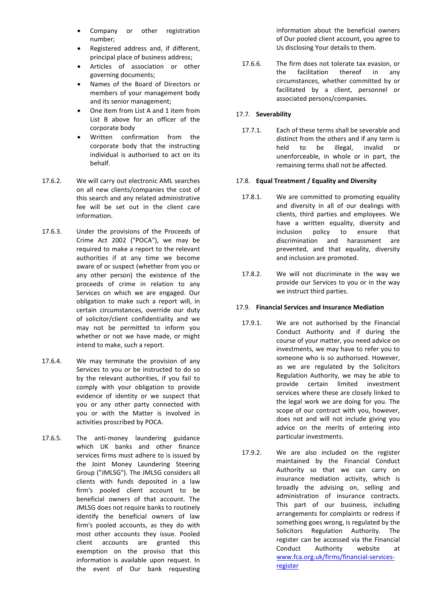- Company or other registration number;
- Registered address and, if different, principal place of business address;
- Articles of association or other governing documents;
- Names of the Board of Directors or members of your management body and its senior management;
- One item from List A and 1 item from List B above for an officer of the corporate body
- Written confirmation from the corporate body that the instructing individual is authorised to act on its behalf.
- 17.6.2. We will carry out electronic AML searches on all new clients/companies the cost of this search and any related administrative fee will be set out in the client care information.
- 17.6.3. Under the provisions of the Proceeds of Crime Act 2002 ("POCA"), we may be required to make a report to the relevant authorities if at any time we become aware of or suspect (whether from you or any other person) the existence of the proceeds of crime in relation to any Services on which we are engaged. Our obligation to make such a report will, in certain circumstances, override our duty of solicitor/client confidentiality and we may not be permitted to inform you whether or not we have made, or might intend to make, such a report.
- 17.6.4. We may terminate the provision of any Services to you or be instructed to do so by the relevant authorities, if you fail to comply with your obligation to provide evidence of identity or we suspect that you or any other party connected with you or with the Matter is involved in activities proscribed by POCA.
- 17.6.5. The anti-money laundering guidance which UK banks and other finance services firms must adhere to is issued by the Joint Money Laundering Steering Group ("JMLSG"). The JMLSG considers all clients with funds deposited in a law firm's pooled client account to be beneficial owners of that account. The JMLSG does not require banks to routinely identify the beneficial owners of law firm's pooled accounts, as they do with most other accounts they issue. Pooled client accounts are granted this exemption on the proviso that this information is available upon request. In the event of Our bank requesting

information about the beneficial owners of Our pooled client account, you agree to Us disclosing Your details to them.

17.6.6. The firm does not tolerate tax evasion, or the facilitation thereof in any circumstances, whether committed by or facilitated by a client, personnel or associated persons/companies.

### 17.7. **Severability**

17.7.1. Each of these terms shall be severable and distinct from the others and if any term is held to be illegal, invalid or unenforceable, in whole or in part, the remaining terms shall not be affected.

## 17.8. **Equal Treatment / Equality and Diversity**

- 17.8.1. We are committed to promoting equality and diversity in all of our dealings with clients, third parties and employees. We have a written equality, diversity and inclusion policy to ensure that discrimination and harassment are prevented, and that equality, diversity and inclusion are promoted.
- 17.8.2. We will not discriminate in the way we provide our Services to you or in the way we instruct third parties.

### 17.9. **Financial Services and Insurance Mediation**

- 17.9.1. We are not authorised by the Financial Conduct Authority and if during the course of your matter, you need advice on investments, we may have to refer you to someone who is so authorised. However, as we are regulated by the Solicitors Regulation Authority, we may be able to provide certain limited investment services where these are closely linked to the legal work we are doing for you. The scope of our contract with you, however, does not and will not include giving you advice on the merits of entering into particular investments.
- 17.9.2. We are also included on the register maintained by the Financial Conduct Authority so that we can carry on insurance mediation activity, which is broadly the advising on, selling and administration of insurance contracts. This part of our business, including arrangements for complaints or redress if something goes wrong, is regulated by the Solicitors Regulation Authority. The register can be accessed via the Financial Conduct Authority website at [www.fca.org.uk/firms/financial-services](http://www.fca.org.uk/firms/financial-services-register)[register](http://www.fca.org.uk/firms/financial-services-register)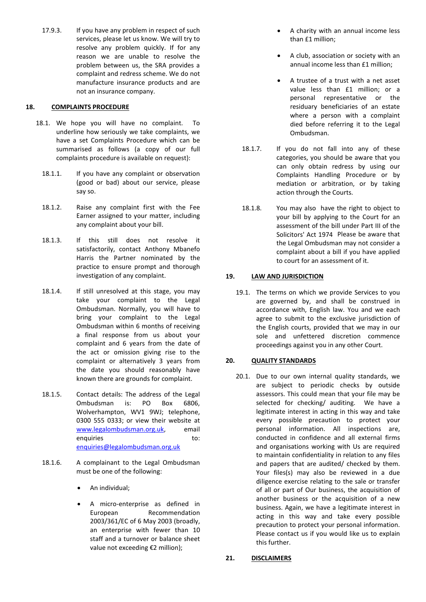17.9.3. If you have any problem in respect of such services, please let us know. We will try to resolve any problem quickly. If for any reason we are unable to resolve the problem between us, the SRA provides a complaint and redress scheme. We do not manufacture insurance products and are not an insurance company.

### **18. COMPLAINTS PROCEDURE**

- 18.1. We hope you will have no complaint. To underline how seriously we take complaints, we have a set Complaints Procedure which can be summarised as follows (a copy of our full complaints procedure is available on request):
	- 18.1.1. If you have any complaint or observation (good or bad) about our service, please say so.
	- 18.1.2. Raise any complaint first with the Fee Earner assigned to your matter, including any complaint about your bill.
	- 18.1.3. If this still does not resolve it satisfactorily, contact Anthony Mbanefo Harris the Partner nominated by the practice to ensure prompt and thorough investigation of any complaint.
	- 18.1.4. If still unresolved at this stage, you may take your complaint to the Legal Ombudsman. Normally, you will have to bring your complaint to the Legal Ombudsman within 6 months of receiving a final response from us about your complaint and 6 years from the date of the act or omission giving rise to the complaint or alternatively 3 years from the date you should reasonably have known there are grounds for complaint.
	- 18.1.5. Contact details: The address of the Legal Ombudsman is: PO Box 6806, Wolverhampton, WV1 9WJ; telephone, 0300 555 0333; or view their website at [www.legalombudsman.org.uk,](http://www.legalombudsman.org.uk/) email enquiries to: [enquiries@legalombudsman.org.uk](mailto:enquiries@legalombudsman.org.uk)
	- 18.1.6. A complainant to the Legal Ombudsman must be one of the following:
		- An individual;
		- A micro-enterprise as defined in European Recommendation 2003/361/EC of 6 May 2003 (broadly, an enterprise with fewer than 10 staff and a turnover or balance sheet value not exceeding €2 million);
- A charity with an annual income less than £1 million;
- A club, association or society with an annual income less than £1 million;
- A trustee of a trust with a net asset value less than £1 million; or a personal representative or the residuary beneficiaries of an estate where a person with a complaint died before referring it to the Legal Ombudsman.
- 18.1.7. If you do not fall into any of these categories, you should be aware that you can only obtain redress by using our Complaints Handling Procedure or by mediation or arbitration, or by taking action through the Courts.
- 18.1.8. You may also have the right to object to your bill by applying to the Court for an assessment of the bill under Part III of the Solicitors' Act 1974 Please be aware that the Legal Ombudsman may not consider a complaint about a bill if you have applied to court for an assessment of it.

# **19. LAW AND JURISDICTION**

19.1. The terms on which we provide Services to you are governed by, and shall be construed in accordance with, English law. You and we each agree to submit to the exclusive jurisdiction of the English courts, provided that we may in our sole and unfettered discretion commence proceedings against you in any other Court.

# **20. QUALITY STANDARDS**

20.1. Due to our own internal quality standards, we are subject to periodic checks by outside assessors. This could mean that your file may be selected for checking/ auditing. We have a legitimate interest in acting in this way and take every possible precaution to protect your personal information. All inspections are, conducted in confidence and all external firms and organisations working with Us are required to maintain confidentiality in relation to any files and papers that are audited/ checked by them. Your files(s) may also be reviewed in a due diligence exercise relating to the sale or transfer of all or part of Our business, the acquisition of another business or the acquisition of a new business. Again, we have a legitimate interest in acting in this way and take every possible precaution to protect your personal information. Please contact us if you would like us to explain this further.

### **21. DISCLAIMERS**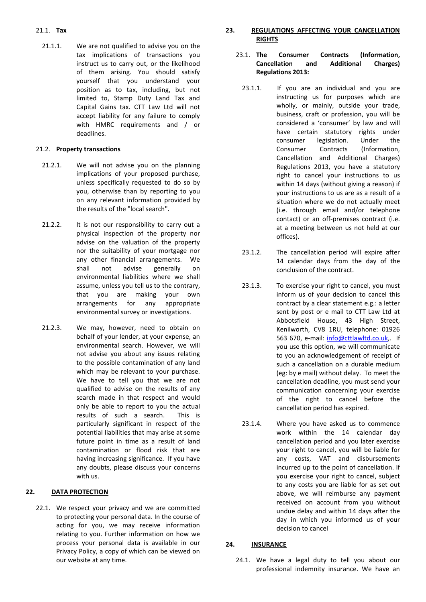## 21.1. **Tax**

21.1.1. We are not qualified to advise you on the tax implications of transactions you instruct us to carry out, or the likelihood of them arising. You should satisfy yourself that you understand your position as to tax, including, but not limited to, Stamp Duty Land Tax and Capital Gains tax. CTT Law Ltd will not accept liability for any failure to comply with HMRC requirements and / or deadlines.

### 21.2. **Property transactions**

- 21.2.1. We will not advise you on the planning implications of your proposed purchase, unless specifically requested to do so by you, otherwise than by reporting to you on any relevant information provided by the results of the "local search".
- 21.2.2. It is not our responsibility to carry out a physical inspection of the property nor advise on the valuation of the property nor the suitability of your mortgage nor any other financial arrangements. We shall not advise generally on environmental liabilities where we shall assume, unless you tell us to the contrary, that you are making your own arrangements for any appropriate environmental survey or investigations.
- 21.2.3. We may, however, need to obtain on behalf of your lender, at your expense, an environmental search. However, we will not advise you about any issues relating to the possible contamination of any land which may be relevant to your purchase. We have to tell you that we are not qualified to advise on the results of any search made in that respect and would only be able to report to you the actual results of such a search. This is particularly significant in respect of the potential liabilities that may arise at some future point in time as a result of land contamination or flood risk that are having increasing significance. If you have any doubts, please discuss your concerns with us.

# **22. DATA PROTECTION**

22.1. We respect your privacy and we are committed to protecting your personal data. In the course of acting for you, we may receive information relating to you. Further information on how we process your personal data is available in our Privacy Policy, a copy of which can be viewed on our website at any time.

# **23. REGULATIONS AFFECTING YOUR CANCELLATION RIGHTS**

- 23.1. **The Consumer Contracts (Information, Cancellation and Additional Charges) Regulations 2013:**
	- 23.1.1. If you are an individual and you are instructing us for purposes which are wholly, or mainly, outside your trade, business, craft or profession, you will be considered a 'consumer' by law and will have certain statutory rights under consumer legislation. Under the Consumer Contracts (Information, Cancellation and Additional Charges) Regulations 2013, you have a statutory right to cancel your instructions to us within 14 days (without giving a reason) if your instructions to us are as a result of a situation where we do not actually meet (i.e. through email and/or telephone contact) or an off-premises contract (i.e. at a meeting between us not held at our offices).
	- 23.1.2. The cancellation period will expire after 14 calendar days from the day of the conclusion of the contract.
	- 23.1.3. To exercise your right to cancel, you must inform us of your decision to cancel this contract by a clear statement e.g.: a letter sent by post or e mail to CTT Law Ltd at Abbotsfield House, 43 High Street, Kenilworth, CV8 1RU, telephone: 01926 563 670, e-mail: [info@cttlawltd.co.uk,.](mailto:info@cttlaw.co.uk) If you use this option, we will communicate to you an acknowledgement of receipt of such a cancellation on a durable medium (eg: by e mail) without delay. To meet the cancellation deadline, you must send your communication concerning your exercise of the right to cancel before the cancellation period has expired.
	- 23.1.4. Where you have asked us to commence work within the 14 calendar day cancellation period and you later exercise your right to cancel, you will be liable for any costs, VAT and disbursements incurred up to the point of cancellation. If you exercise your right to cancel, subject to any costs you are liable for as set out above, we will reimburse any payment received on account from you without undue delay and within 14 days after the day in which you informed us of your decision to cancel

### **24. INSURANCE**

24.1. We have a legal duty to tell you about our professional indemnity insurance. We have an